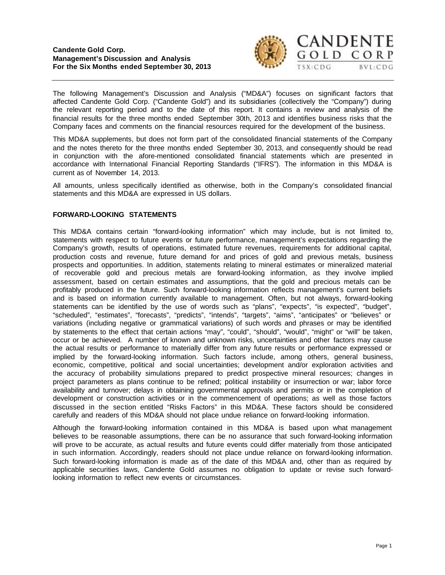

The following Management's Discussion and Analysis ("MD&A") focuses on significant factors that affected Candente Gold Corp. ("Candente Gold") and its subsidiaries (collectively the "Company") during the relevant reporting period and to the date of this report. It contains a review and analysis of the financial results for the three months ended September 30th, 2013 and identifies business risks that the Company faces and comments on the financial resources required for the development of the business.

This MD&A supplements, but does not form part of the consolidated financial statements of the Company and the notes thereto for the three months ended September 30, 2013, and consequently should be read in conjunction with the afore-mentioned consolidated financial statements which are presented in accordance with International Financial Reporting Standards ("IFRS"). The information in this MD&A is current as of November 14, 2013.

All amounts, unless specifically identified as otherwise, both in the Company's consolidated financial statements and this MD&A are expressed in US dollars.

# **FORWARD-LOOKING STATEMENTS**

This MD&A contains certain "forward-looking information" which may include, but is not limited to, statements with respect to future events or future performance, management's expectations regarding the Company's growth, results of operations, estimated future revenues, requirements for additional capital, production costs and revenue, future demand for and prices of gold and previous metals, business prospects and opportunities. In addition, statements relating to mineral estimates or mineralized material of recoverable gold and precious metals are forward-looking information, as they involve implied assessment, based on certain estimates and assumptions, that the gold and precious metals can be profitably produced in the future. Such forward-looking information reflects management's current beliefs and is based on information currently available to management. Often, but not always, forward-looking statements can be identified by the use of words such as "plans", "expects", "is expected", "budget", "scheduled", "estimates", "forecasts", "predicts", "intends", "targets", "aims", "anticipates" or "believes" or variations (including negative or grammatical variations) of such words and phrases or may be identified by statements to the effect that certain actions "may", "could", "should", "would", "might" or "will" be taken, occur or be achieved. A number of known and unknown risks, uncertainties and other factors may cause the actual results or performance to materially differ from any future results or performance expressed or implied by the forward-looking information. Such factors include, among others, general business, economic, competitive, political and social uncertainties; development and/or exploration activities and the accuracy of probability simulations prepared to predict prospective mineral resources; changes in project parameters as plans continue to be refined; political instability or insurrection or war; labor force availability and turnover; delays in obtaining governmental approvals and permits or in the completion of development or construction activities or in the commencement of operations; as well as those factors discussed in the section entitled "Risks Factors" in this MD&A. These factors should be considered carefully and readers of this MD&A should not place undue reliance on forward-looking information.

Although the forward-looking information contained in this MD&A is based upon what management believes to be reasonable assumptions, there can be no assurance that such forward-looking information will prove to be accurate, as actual results and future events could differ materially from those anticipated in such information. Accordingly, readers should not place undue reliance on forward-looking information. Such forward-looking information is made as of the date of this MD&A and, other than as required by applicable securities laws, Candente Gold assumes no obligation to update or revise such forwardlooking information to reflect new events or circumstances.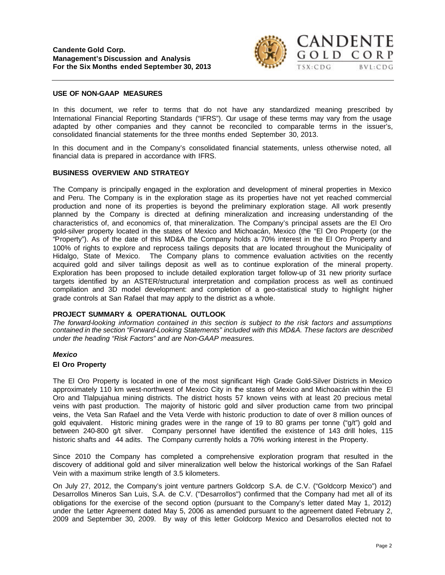

#### **USE OF NON-GAAP MEASURES**

In this document, we refer to terms that do not have any standardized meaning prescribed by International Financial Reporting Standards ("IFRS"). Our usage of these terms may vary from the usage adapted by other companies and they cannot be reconciled to comparable terms in the issuer's, consolidated financial statements for the three months ended September 30, 2013.

In this document and in the Company's consolidated financial statements, unless otherwise noted, all financial data is prepared in accordance with IFRS.

#### **BUSINESS OVERVIEW AND STRATEGY**

The Company is principally engaged in the exploration and development of mineral properties in Mexico and Peru. The Company is in the exploration stage as its properties have not yet reached commercial production and none of its properties is beyond the preliminary exploration stage. All work presently planned by the Company is directed at defining mineralization and increasing understanding of the characteristics of, and economics of, that mineralization. The Company's principal assets are the El Oro gold-silver property located in the states of Mexico and Michoacán, Mexico (the "El Oro Property (or the "Property"). As of the date of this MD&A the Company holds a 70% interest in the El Oro Property and 100% of rights to explore and reprocess tailings deposits that are located throughout the Municipality of Hidalgo, State of Mexico. The Company plans to commence evaluation activities on the recently acquired gold and silver tailings deposit as well as to continue exploration of the mineral property. Exploration has been proposed to include detailed exploration target follow-up of 31 new priority surface targets identified by an ASTER/structural interpretation and compilation process as well as continued compilation and 3D model development: and completion of a geo-statistical study to highlight higher grade controls at San Rafael that may apply to the district as a whole.

#### **PROJECT SUMMARY & OPERATIONAL OUTLOOK**

*The forward-looking information contained in this section is subject to the risk factors and assumptions contained in the section "Forward-Looking Statements" included with this MD&A. These factors are described under the heading "Risk Factors" and are Non-GAAP measures.*

#### *Mexico*

#### **El Oro Property**

The El Oro Property is located in one of the most significant High Grade Gold-Silver Districts in Mexico approximately 110 km west-northwest of Mexico City in the states of Mexico and Michoacán within the El Oro and Tlalpujahua mining districts. The district hosts 57 known veins with at least 20 precious metal veins with past production. The majority of historic gold and silver production came from two principal veins, the Veta San Rafael and the Veta Verde with historic production to date of over 8 million ounces of gold equivalent. Historic mining grades were in the range of 19 to 80 grams per tonne ("g/t") gold and between 240-800 g/t silver. Company personnel have identified the existence of 143 drill holes, 115 historic shafts and 44 adits. The Company currently holds a 70% working interest in the Property.

Since 2010 the Company has completed a comprehensive exploration program that resulted in the discovery of additional gold and silver mineralization well below the historical workings of the San Rafael Vein with a maximum strike length of 3.5 kilometers.

On July 27, 2012, the Company's joint venture partners Goldcorp S.A. de C.V. ("Goldcorp Mexico") and Desarrollos Mineros San Luis, S.A. de C.V. ("Desarrollos") confirmed that the Company had met all of its obligations for the exercise of the second option (pursuant to the Company's letter dated May 1, 2012) under the Letter Agreement dated May 5, 2006 as amended pursuant to the agreement dated February 2, 2009 and September 30, 2009. By way of this letter Goldcorp Mexico and Desarrollos elected not to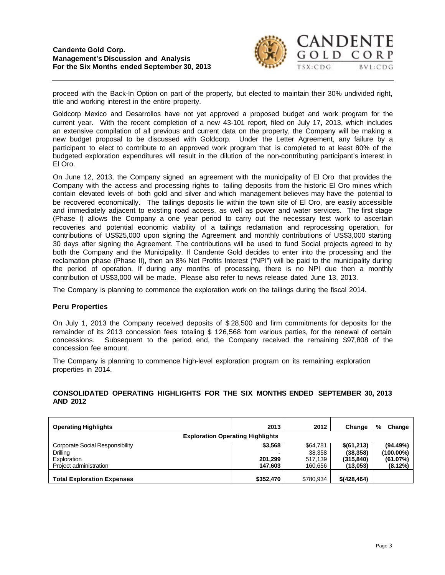

proceed with the Back-In Option on part of the property, but elected to maintain their 30% undivided right, title and working interest in the entire property.

Goldcorp Mexico and Desarrollos have not yet approved a proposed budget and work program for the current year. With the recent completion of a new 43-101 report, filed on July 17, 2013, which includes an extensive compilation of all previous and current data on the property, the Company will be making a new budget proposal to be discussed with Goldcorp. Under the Letter Agreement, any failure by a participant to elect to contribute to an approved work program that is completed to at least 80% of the budgeted exploration expenditures will result in the dilution of the non-contributing participant's interest in El Oro.

On June 12, 2013, the Company signed an agreement with the municipality of El Oro that provides the Company with the access and processing rights to tailing deposits from the historic El Oro mines which contain elevated levels of both gold and silver and which management believes may have the potential to be recovered economically. The tailings deposits lie within the town site of El Oro, are easily accessible and immediately adjacent to existing road access, as well as power and water services. The first stage (Phase I) allows the Company a one year period to carry out the necessary test work to ascertain recoveries and potential economic viability of a tailings reclamation and reprocessing operation, for contributions of US\$25,000 upon signing the Agreement and monthly contributions of US\$3,000 starting 30 days after signing the Agreement. The contributions will be used to fund Social projects agreed to by both the Company and the Municipality. If Candente Gold decides to enter into the processing and the reclamation phase (Phase II), then an 8% Net Profits Interest ("NPI") will be paid to the municipality during the period of operation. If during any months of processing, there is no NPI due then a monthly contribution of US\$3,000 will be made. Please also refer to news release dated June 13, 2013.

The Company is planning to commence the exploration work on the tailings during the fiscal 2014.

# **Peru Properties**

On July 1, 2013 the Company received deposits of \$ 28,500 and firm commitments for deposits for the remainder of its 2013 concession fees totaling \$ 126,568 from various parties, for the renewal of certain concessions. Subsequent to the period end, the Company received the remaining \$97,808 of the concession fee amount.

The Company is planning to commence high-level exploration program on its remaining exploration properties in 2014.

# **CONSOLIDATED OPERATING HIGHLIGHTS FOR THE SIX MONTHS ENDED SEPTEMBER 30, 2013 AND 2012**

| <b>Operating Highlights</b>                                                          | 2013                          | 2012                                     | Change                                            | %<br>Change                                  |
|--------------------------------------------------------------------------------------|-------------------------------|------------------------------------------|---------------------------------------------------|----------------------------------------------|
| <b>Exploration Operating Highlights</b>                                              |                               |                                          |                                                   |                                              |
| Corporate Social Responsibility<br>Drilling<br>Exploration<br>Project administration | \$3,568<br>201.299<br>147.603 | \$64,781<br>38.358<br>517.139<br>160.656 | \$(61,213)<br>(38, 358)<br>(315, 840)<br>(13,053) | (94.49%)<br>(100.00%)<br>(61.07%)<br>(8.12%) |
| <b>Total Exploration Expenses</b>                                                    | \$352,470                     | \$780.934                                | $$$ (428,464)                                     |                                              |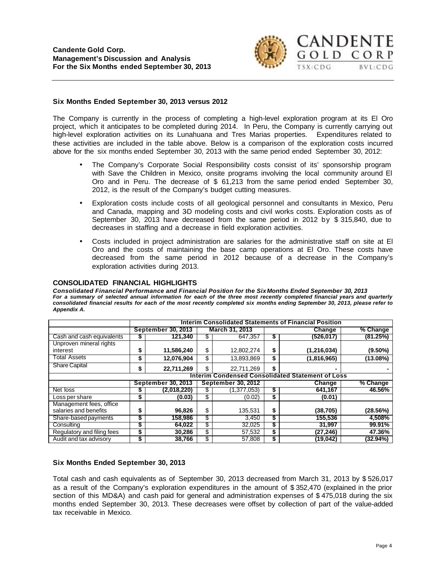

#### **Six Months Ended September 30, 2013 versus 2012**

The Company is currently in the process of completing a high-level exploration program at its El Oro project, which it anticipates to be completed during 2014. In Peru, the Company is currently carrying out high-level exploration activities on its Lunahuana and Tres Marias properties. Expenditures related to these activities are included in the table above. Below is a comparison of the exploration costs incurred above for the six months ended September 30, 2013 with the same period ended September 30, 2012:

- The Company's Corporate Social Responsibility costs consist of its' sponsorship program with Save the Children in Mexico, onsite programs involving the local community around El Oro and in Peru. The decrease of \$ 61,213 from the same period ended September 30, 2012, is the result of the Company's budget cutting measures.
- Exploration costs include costs of all geological personnel and consultants in Mexico, Peru and Canada, mapping and 3D modeling costs and civil works costs. Exploration costs as of September 30, 2013 have decreased from the same period in 2012 by \$ 315,840, due to decreases in staffing and a decrease in field exploration activities.
- Costs included in project administration are salaries for the administrative staff on site at El Oro and the costs of maintaining the base camp operations at El Oro. These costs have decreased from the same period in 2012 because of a decrease in the Company's exploration activities during 2013.

#### **CONSOLIDATED FINANCIAL HIGHLIGHTS**

*Consolidated Financial Performance and Financial Position for the SixMonths Ended September 30, 2013 For a summary of selected annual information for each of the three most recently completed financial years and quarterly consolidated financial results for each of the most recently completed six months ending September 30, 2013, please refer to Appendix A.*

|                            | <b>Interim Consolidated Statements of Financial Position</b> |                           |                           |                                                         |    |               |            |  |  |  |  |  |  |  |
|----------------------------|--------------------------------------------------------------|---------------------------|---------------------------|---------------------------------------------------------|----|---------------|------------|--|--|--|--|--|--|--|
|                            |                                                              | <b>September 30, 2013</b> |                           | March 31, 2013                                          |    | Change        | % Change   |  |  |  |  |  |  |  |
| Cash and cash equivalents  | P                                                            | 121.340                   | \$                        | 647.357                                                 | 5  | (526,017)     | (81.25%)   |  |  |  |  |  |  |  |
| Unproven mineral rights    |                                                              |                           |                           |                                                         |    |               |            |  |  |  |  |  |  |  |
| interest                   | S                                                            | 11,586,240                | \$                        | 12,802,274                                              | \$ | (1, 216, 034) | $(9.50\%)$ |  |  |  |  |  |  |  |
| Total Assets               | \$                                                           | 12,076,904                | \$                        | 13,893,869                                              | \$ | (1,816,965)   | (13.08%)   |  |  |  |  |  |  |  |
| <b>Share Capital</b>       | \$                                                           | 22,711,269                | \$                        | 22,711,269                                              | \$ | ٠             |            |  |  |  |  |  |  |  |
|                            |                                                              |                           |                           | <b>Interim Condensed Consolidated Statement of Loss</b> |    |               |            |  |  |  |  |  |  |  |
|                            |                                                              |                           | <b>September 30, 2012</b> |                                                         |    |               |            |  |  |  |  |  |  |  |
|                            |                                                              | <b>September 30, 2013</b> |                           |                                                         |    | Change        | % Change   |  |  |  |  |  |  |  |
| Net loss                   |                                                              | (2,018,220)               | \$                        | (1,377,053)                                             | \$ | 641.167       | 46.56%     |  |  |  |  |  |  |  |
| Loss per share             | \$                                                           | (0.03)                    | \$                        | (0.02)                                                  | \$ | (0.01)        |            |  |  |  |  |  |  |  |
| Management fees, office    |                                                              |                           |                           |                                                         |    |               |            |  |  |  |  |  |  |  |
| salaries and benefits      | S                                                            | 96,826                    | \$                        | 135,531                                                 | \$ | (38, 705)     | (28.56%)   |  |  |  |  |  |  |  |
| Share-based payments       | S                                                            | 158.986                   | \$                        | 3,450                                                   |    | 155,536       | 4,508%     |  |  |  |  |  |  |  |
| Consulting                 | S                                                            | 64.022                    | \$                        | 32,025                                                  |    | 31.997        | 99.91%     |  |  |  |  |  |  |  |
| Regulatory and filing fees | \$                                                           | 30,286                    | \$                        | 57,532                                                  | \$ | (27, 246)     | 47.36%     |  |  |  |  |  |  |  |

# **Six Months Ended September 30, 2013**

Total cash and cash equivalents as of September 30, 2013 decreased from March 31, 2013 by \$ 526,017 as a result of the Company's exploration expenditures in the amount of \$ 352,470 (explained in the prior section of this MD&A) and cash paid for general and administration expenses of \$475,018 during the six months ended September 30, 2013. These decreases were offset by collection of part of the value-added tax receivable in Mexico.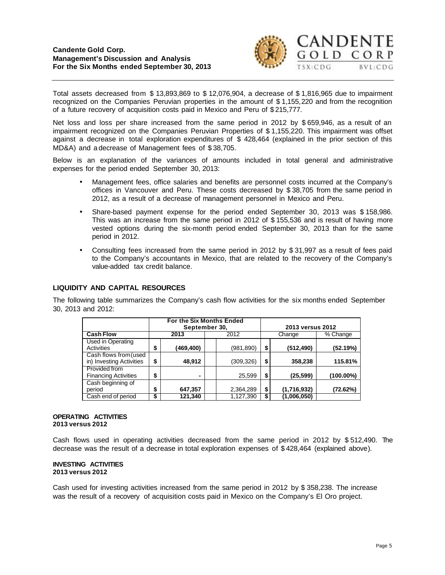

Total assets decreased from \$ 13,893,869 to \$ 12,076,904, a decrease of \$ 1,816,965 due to impairment recognized on the Companies Peruvian properties in the amount of \$ 1,155,220 and from the recognition of a future recovery of acquisition costs paid in Mexico and Peru of \$ 215,777.

Net loss and loss per share increased from the same period in 2012 by \$659,946, as a result of an impairment recognized on the Companies Peruvian Properties of \$ 1,155,220. This impairment was offset against a decrease in total exploration expenditures of \$ 428,464 (explained in the prior section of this MD&A) and a decrease of Management fees of \$ 38,705.

Below is an explanation of the variances of amounts included in total general and administrative expenses for the period ended September 30, 2013:

- Management fees, office salaries and benefits are personnel costs incurred at the Company's offices in Vancouver and Peru. These costs decreased by \$ 38,705 from the same period in 2012, as a result of a decrease of management personnel in Mexico and Peru.
- Share-based payment expense for the period ended September 30, 2013 was \$ 158,986. This was an increase from the same period in 2012 of \$ 155,536 and is result of having more vested options during the six-month period ended September 30, 2013 than for the same period in 2012.
- Consulting fees increased from the same period in 2012 by \$ 31,997 as a result of fees paid to the Company's accountants in Mexico, that are related to the recovery of the Company's value-added tax credit balance.

# **LIQUIDITY AND CAPITAL RESOURCES**

The following table summarizes the Company's cash flow activities for the six months ended September 30, 2013 and 2012:

|                                                   | For the Six Months Ended<br>September 30, |           |  |           |    | 2013 versus 2012 |           |
|---------------------------------------------------|-------------------------------------------|-----------|--|-----------|----|------------------|-----------|
| <b>Cash Flow</b>                                  |                                           | 2013      |  | 2012      |    | Change           | % Change  |
| Used in Operating<br>Activities                   | \$                                        | (469,400) |  | (981,890) | \$ | (512,490)        | (52.19%)  |
| Cash flows from (used<br>in) Investing Activities | \$                                        | 48,912    |  | (309,326) | \$ | 358,238          | 115.81%   |
| Provided from<br><b>Financing Activities</b>      | \$                                        | ۰         |  | 25.599    | \$ | (25,599)         | (100.00%) |
| Cash beginning of<br>period                       | \$                                        | 647,357   |  | 2,364,289 | \$ | (1,716,932)      | (72.62%)  |
| Cash end of period                                | \$                                        | 121,340   |  | 1,127,390 | \$ | (1,006,050)      |           |

#### **OPERATING ACTIVITIES 2013 versus 2012**

Cash flows used in operating activities decreased from the same period in 2012 by \$ 512,490. The decrease was the result of a decrease in total exploration expenses of \$ 428,464 (explained above).

#### **INVESTING ACTIVITIES 2013 versus 2012**

Cash used for investing activities increased from the same period in 2012 by \$ 358,238. The increase was the result of a recovery of acquisition costs paid in Mexico on the Company's El Oro project.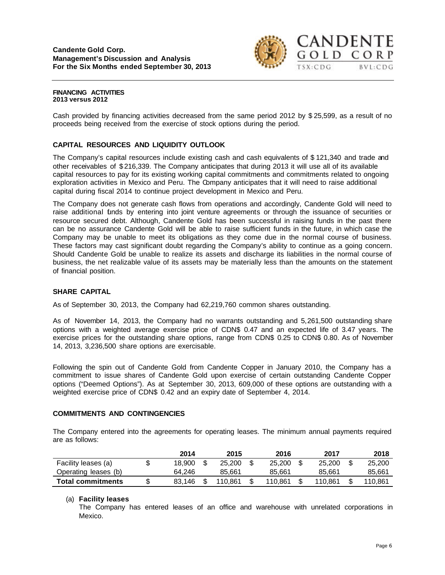

#### **FINANCING ACTIVITIES 2013 versus 2012**

Cash provided by financing activities decreased from the same period 2012 by \$ 25,599, as a result of no proceeds being received from the exercise of stock options during the period.

# **CAPITAL RESOURCES AND LIQUIDITY OUTLOOK**

The Company's capital resources include existing cash and cash equivalents of \$ 121,340 and trade and other receivables of \$ 216,339. The Company anticipates that during 2013 it will use all of its available capital resources to pay for its existing working capital commitments and commitments related to ongoing exploration activities in Mexico and Peru. The Company anticipates that it will need to raise additional capital during fiscal 2014 to continue project development in Mexico and Peru.

The Company does not generate cash flows from operations and accordingly, Candente Gold will need to raise additional funds by entering into joint venture agreements or through the issuance of securities or resource secured debt. Although, Candente Gold has been successful in raising funds in the past there can be no assurance Candente Gold will be able to raise sufficient funds in the future, in which case the Company may be unable to meet its obligations as they come due in the normal course of business. These factors may cast significant doubt regarding the Company's ability to continue as a going concern. Should Candente Gold be unable to realize its assets and discharge its liabilities in the normal course of business, the net realizable value of its assets may be materially less than the amounts on the statement of financial position.

# **SHARE CAPITAL**

As of September 30, 2013, the Company had 62,219,760 common shares outstanding.

As of November 14, 2013, the Company had no warrants outstanding and 5,261,500 outstanding share options with a weighted average exercise price of CDN\$ 0.47 and an expected life of 3.47 years. The exercise prices for the outstanding share options, range from CDN\$ 0.25 to CDN\$ 0.80. As of November 14, 2013, 3,236,500 share options are exercisable.

Following the spin out of Candente Gold from Candente Copper in January 2010, the Company has a commitment to issue shares of Candente Gold upon exercise of certain outstanding Candente Copper options ("Deemed Options"). As at September 30, 2013, 609,000 of these options are outstanding with a weighted exercise price of CDN\$ 0.42 and an expiry date of September 4, 2014.

# **COMMITMENTS AND CONTINGENCIES**

The Company entered into the agreements for operating leases. The minimum annual payments required are as follows:

|                          | 2014   | 2015    | 2016    | 2017    | 2018    |
|--------------------------|--------|---------|---------|---------|---------|
| Facility leases (a)      | 18.900 | 25.200  | 25,200  | 25,200  | 25,200  |
| Operating leases (b)     | 64.246 | 85.661  | 85.661  | 85.661  | 85,661  |
| <b>Total commitments</b> | 83.146 | 110.861 | 110.861 | 110.861 | 110.861 |

# (a) **Facility leases**

The Company has entered leases of an office and warehouse with unrelated corporations in Mexico.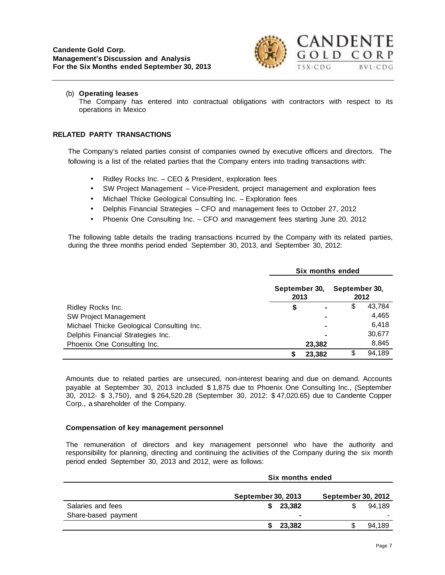

#### (b) **Operating leases**

The Company has entered into contractual obligations with contractors with respect to its operations in Mexico

#### **RELATED PARTY TRANSACTIONS**

The Company's related parties consist of companies owned by executive officers and directors. The following is a list of the related parties that the Company enters into trading transactions with:

- Ridley Rocks Inc. CEO & President, exploration fees
- SW Project Management Vice-President, project management and exploration fees
- Michael Thicke Geological Consulting Inc. Exploration fees
- Delphis Financial Strategies CFO and management fees to October 27, 2012
- Phoenix One Consulting Inc. CFO and management fees starting June 20, 2012

The following table details the trading transactions incurred by the Company with its related parties, during the three months period ended September 30, 2013, and September 30, 2012:

|                                           | Six months ended      |                |               |        |  |  |  |
|-------------------------------------------|-----------------------|----------------|---------------|--------|--|--|--|
|                                           | September 30,<br>2013 |                | September 30, | 2012   |  |  |  |
| Ridley Rocks Inc.                         | \$                    |                | \$            | 43,784 |  |  |  |
| <b>SW Project Management</b>              |                       | $\blacksquare$ |               | 4,465  |  |  |  |
| Michael Thicke Geological Consulting Inc. |                       | $\blacksquare$ |               | 6,418  |  |  |  |
| Delphis Financial Strategies Inc.         |                       |                |               | 30,677 |  |  |  |
| Phoenix One Consulting Inc.               |                       | 23,382         |               | 8,845  |  |  |  |
|                                           |                       | 23.382         | \$            | 94,189 |  |  |  |

Amounts due to related parties are unsecured, non-interest bearing and due on demand. Accounts payable at September 30, 2013 included \$ 1,875 due to Phoenix One Consulting Inc., (September 30, 2012- \$ 3,750), and \$ 264,520.28 (September 30, 2012: \$ 47,020.65) due to Candente Copper Corp., a shareholder of the Company.

# **Compensation of key management personnel**

The remuneration of directors and key management personnel who have the authority and responsibility for planning, directing and continuing the activities of the Company during the six month period ended September 30, 2013 and 2012, were as follows:

|                     | Six months ended          |                           |  |  |  |  |  |
|---------------------|---------------------------|---------------------------|--|--|--|--|--|
|                     | <b>September 30, 2013</b> | <b>September 30, 2012</b> |  |  |  |  |  |
| Salaries and fees   | 23.382<br>S.              | 94.189                    |  |  |  |  |  |
| Share-based payment | $\blacksquare$            |                           |  |  |  |  |  |
|                     | 23,382                    | 94,189                    |  |  |  |  |  |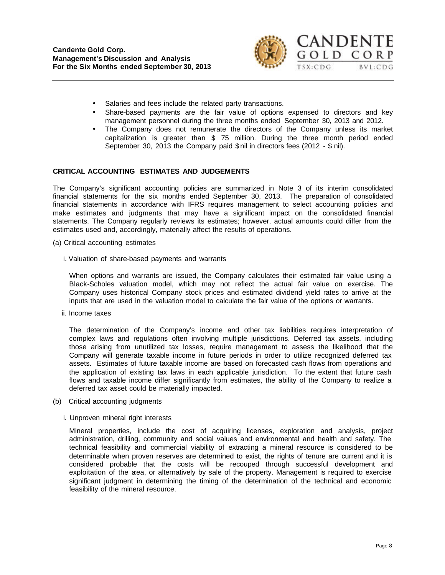

- Salaries and fees include the related party transactions.
- Share-based payments are the fair value of options expensed to directors and key management personnel during the three months ended September 30, 2013 and 2012.
- The Company does not remunerate the directors of the Company unless its market capitalization is greater than \$ 75 million. During the three month period ended September 30, 2013 the Company paid \$ nil in directors fees (2012 - \$ nil).

#### **CRITICAL ACCOUNTING ESTIMATES AND JUDGEMENTS**

The Company's significant accounting policies are summarized in Note 3 of its interim consolidated financial statements for the six months ended September 30, 2013. The preparation of consolidated financial statements in accordance with IFRS requires management to select accounting policies and make estimates and judgments that may have a significant impact on the consolidated financial statements. The Company regularly reviews its estimates; however, actual amounts could differ from the estimates used and, accordingly, materially affect the results of operations.

- (a) Critical accounting estimates
	- i. Valuation of share-based payments and warrants

When options and warrants are issued, the Company calculates their estimated fair value using a Black-Scholes valuation model, which may not reflect the actual fair value on exercise. The Company uses historical Company stock prices and estimated dividend yield rates to arrive at the inputs that are used in the valuation model to calculate the fair value of the options or warrants.

ii. Income taxes

The determination of the Company's income and other tax liabilities requires interpretation of complex laws and regulations often involving multiple jurisdictions. Deferred tax assets, including those arising from unutilized tax losses, require management to assess the likelihood that the Company will generate taxable income in future periods in order to utilize recognized deferred tax assets. Estimates of future taxable income are based on forecasted cash flows from operations and the application of existing tax laws in each applicable jurisdiction. To the extent that future cash flows and taxable income differ significantly from estimates, the ability of the Company to realize a deferred tax asset could be materially impacted.

- (b) Critical accounting judgments
	- i. Unproven mineral right interests

Mineral properties, include the cost of acquiring licenses, exploration and analysis, project administration, drilling, community and social values and environmental and health and safety. The technical feasibility and commercial viability of extracting a mineral resource is considered to be determinable when proven reserves are determined to exist, the rights of tenure are current and it is considered probable that the costs will be recouped through successful development and exploitation of the area, or alternatively by sale of the property. Management is required to exercise significant judgment in determining the timing of the determination of the technical and economic feasibility of the mineral resource.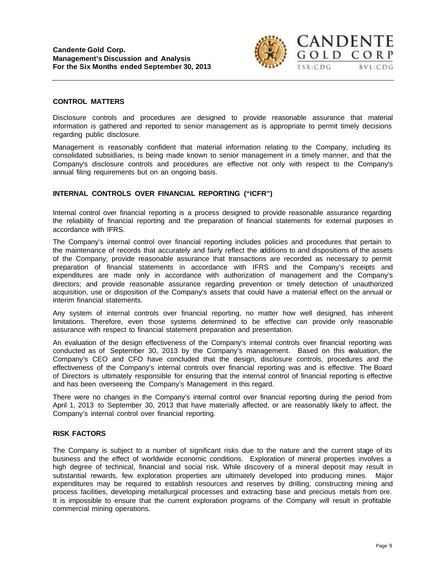

#### **CONTROL MATTERS**

Disclosure controls and procedures are designed to provide reasonable assurance that material information is gathered and reported to senior management as is appropriate to permit timely decisions regarding public disclosure.

Management is reasonably confident that material information relating to the Company, including its consolidated subsidiaries, is being made known to senior management in a timely manner, and that the Company's disclosure controls and procedures are effective not only with respect to the Company's annual filing requirements but on an ongoing basis.

# **INTERNAL CONTROLS OVER FINANCIAL REPORTING ("ICFR")**

Internal control over financial reporting is a process designed to provide reasonable assurance regarding the reliability of financial reporting and the preparation of financial statements for external purposes in accordance with IFRS.

The Company's internal control over financial reporting includes policies and procedures that pertain to the maintenance of records that accurately and fairly reflect the additions to and dispositions of the assets of the Company; provide reasonable assurance that transactions are recorded as necessary to permit preparation of financial statements in accordance with IFRS and the Company's receipts and expenditures are made only in accordance with authorization of management and the Company's directors; and provide reasonable assurance regarding prevention or timely detection of unauthorized acquisition, use or disposition of the Company's assets that could have a material effect on the annual or interim financial statements.

Any system of internal controls over financial reporting, no matter how well designed, has inherent limitations. Therefore, even those systems determined to be effective can provide only reasonable assurance with respect to financial statement preparation and presentation.

An evaluation of the design effectiveness of the Company's internal controls over financial reporting was conducted as of September 30, 2013 by the Company's management. Based on this evaluation, the Company's CEO and CFO have concluded that the design, disclosure controls, procedures and the effectiveness of the Company's internal controls over financial reporting was and is effective. The Board of Directors is ultimately responsible for ensuring that the internal control of financial reporting is effective and has been overseeing the Company's Management in this regard.

There were no changes in the Company's internal control over financial reporting during the period from April 1, 2013 to September 30, 2013 that have materially affected, or are reasonably likely to affect, the Company's internal control over financial reporting.

# **RISK FACTORS**

The Company is subject to a number of significant risks due to the nature and the current stage of its business and the effect of worldwide economic conditions. Exploration of mineral properties involves a high degree of technical, financial and social risk. While discovery of a mineral deposit may result in substantial rewards, few exploration properties are ultimately developed into producing mines. Major expenditures may be required to establish resources and reserves by drilling, constructing mining and process facilities, developing metallurgical processes and extracting base and precious metals from ore. It is impossible to ensure that the current exploration programs of the Company will result in profitable commercial mining operations.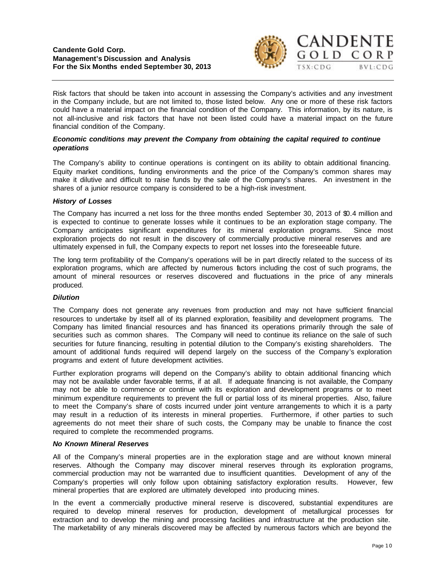

Risk factors that should be taken into account in assessing the Company's activities and any investment in the Company include, but are not limited to, those listed below. Any one or more of these risk factors could have a material impact on the financial condition of the Company. This information, by its nature, is not all-inclusive and risk factors that have not been listed could have a material impact on the future financial condition of the Company.

# *Economic conditions may prevent the Company from obtaining the capital required to continue operations*

The Company's ability to continue operations is contingent on its ability to obtain additional financing. Equity market conditions, funding environments and the price of the Company's common shares may make it dilutive and difficult to raise funds by the sale of the Company's shares. An investment in the shares of a junior resource company is considered to be a high-risk investment.

# *History of Losses*

The Company has incurred a net loss for the three months ended September 30, 2013 of \$0.4 million and is expected to continue to generate losses while it continues to be an exploration stage company. The Company anticipates significant expenditures for its mineral exploration programs. Since most exploration projects do not result in the discovery of commercially productive mineral reserves and are ultimately expensed in full, the Company expects to report net losses into the foreseeable future.

The long term profitability of the Company's operations will be in part directly related to the success of its exploration programs, which are affected by numerous factors including the cost of such programs, the amount of mineral resources or reserves discovered and fluctuations in the price of any minerals produced.

# *Dilution*

The Company does not generate any revenues from production and may not have sufficient financial resources to undertake by itself all of its planned exploration, feasibility and development programs. The Company has limited financial resources and has financed its operations primarily through the sale of securities such as common shares. The Company will need to continue its reliance on the sale of such securities for future financing, resulting in potential dilution to the Company's existing shareholders. The amount of additional funds required will depend largely on the success of the Company's exploration programs and extent of future development activities.

Further exploration programs will depend on the Company's ability to obtain additional financing which may not be available under favorable terms, if at all. If adequate financing is not available, the Company may not be able to commence or continue with its exploration and development programs or to meet minimum expenditure requirements to prevent the full or partial loss of its mineral properties. Also, failure to meet the Company's share of costs incurred under joint venture arrangements to which it is a party may result in a reduction of its interests in mineral properties. Furthermore, if other parties to such agreements do not meet their share of such costs, the Company may be unable to finance the cost required to complete the recommended programs.

# *No Known Mineral Reserves*

All of the Company's mineral properties are in the exploration stage and are without known mineral reserves. Although the Company may discover mineral reserves through its exploration programs, commercial production may not be warranted due to insufficient quantities. Development of any of the Company's properties will only follow upon obtaining satisfactory exploration results. However, few mineral properties that are explored are ultimately developed into producing mines.

In the event a commercially productive mineral reserve is discovered, substantial expenditures are required to develop mineral reserves for production, development of metallurgical processes for extraction and to develop the mining and processing facilities and infrastructure at the production site. The marketability of any minerals discovered may be affected by numerous factors which are beyond the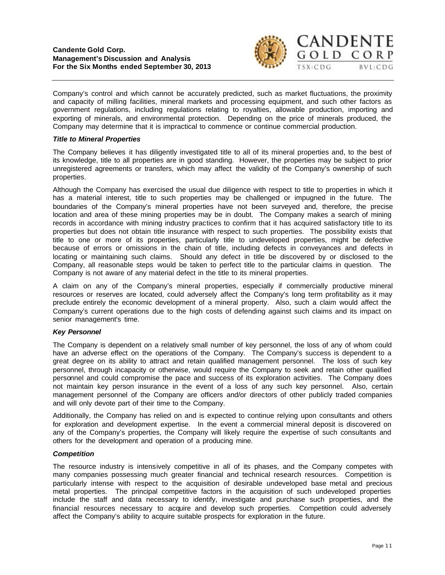

Company's control and which cannot be accurately predicted, such as market fluctuations, the proximity and capacity of milling facilities, mineral markets and processing equipment, and such other factors as government regulations, including regulations relating to royalties, allowable production, importing and exporting of minerals, and environmental protection. Depending on the price of minerals produced, the Company may determine that it is impractical to commence or continue commercial production.

### *Title to Mineral Properties*

The Company believes it has diligently investigated title to all of its mineral properties and, to the best of its knowledge, title to all properties are in good standing. However, the properties may be subject to prior unregistered agreements or transfers, which may affect the validity of the Company's ownership of such properties.

Although the Company has exercised the usual due diligence with respect to title to properties in which it has a material interest, title to such properties may be challenged or impugned in the future. The boundaries of the Company's mineral properties have not been surveyed and, therefore, the precise location and area of these mining properties may be in doubt. The Company makes a search of mining records in accordance with mining industry practices to confirm that it has acquired satisfactory title to its properties but does not obtain title insurance with respect to such properties. The possibility exists that title to one or more of its properties, particularly title to undeveloped properties, might be defective because of errors or omissions in the chain of title, including defects in conveyances and defects in locating or maintaining such claims. Should any defect in title be discovered by or disclosed to the Company, all reasonable steps would be taken to perfect title to the particular claims in question. The Company is not aware of any material defect in the title to its mineral properties.

A claim on any of the Company's mineral properties, especially if commercially productive mineral resources or reserves are located, could adversely affect the Company's long term profitability as it may preclude entirely the economic development of a mineral property. Also, such a claim would affect the Company's current operations due to the high costs of defending against such claims and its impact on senior management's time.

# *Key Personnel*

The Company is dependent on a relatively small number of key personnel, the loss of any of whom could have an adverse effect on the operations of the Company. The Company's success is dependent to a great degree on its ability to attract and retain qualified management personnel. The loss of such key personnel, through incapacity or otherwise, would require the Company to seek and retain other qualified personnel and could compromise the pace and success of its exploration activities. The Company does not maintain key person insurance in the event of a loss of any such key personnel. Also, certain management personnel of the Company are officers and/or directors of other publicly traded companies and will only devote part of their time to the Company.

Additionally, the Company has relied on and is expected to continue relying upon consultants and others for exploration and development expertise. In the event a commercial mineral deposit is discovered on any of the Company's properties, the Company will likely require the expertise of such consultants and others for the development and operation of a producing mine.

# *Competition*

The resource industry is intensively competitive in all of its phases, and the Company competes with many companies possessing much greater financial and technical research resources. Competition is particularly intense with respect to the acquisition of desirable undeveloped base metal and precious metal properties. The principal competitive factors in the acquisition of such undeveloped properties include the staff and data necessary to identify, investigate and purchase such properties, and the financial resources necessary to acquire and develop such properties. Competition could adversely affect the Company's ability to acquire suitable prospects for exploration in the future.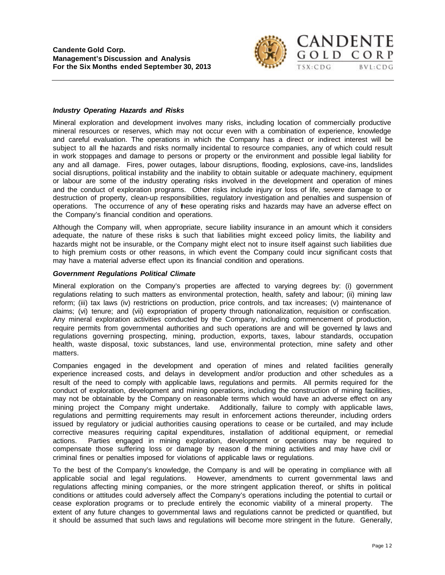

### *Industry Operating Hazards and Risks*

Mineral exploration and development involves many risks, including location of commercially productive mineral resources or reserves, which may not occur even with a combination of experience, knowledge and careful evaluation. The operations in which the Company has a direct or indirect interest will be subject to all the hazards and risks normally incidental to resource companies, any of which could result in work stoppages and damage to persons or property or the environment and possible legal liability for any and all damage. Fires, power outages, labour disruptions, flooding, explosions, cave-ins, landslides social disruptions, political instability and the inability to obtain suitable or adequate machinery, equipment or labour are some of the industry operating risks involved in the development and operation of mines and the conduct of exploration programs. Other risks include injury or loss of life, severe damage to or destruction of property, clean-up responsibilities, regulatory investigation and penalties and suspension of operations. The occurrence of any of these operating risks and hazards may have an adverse effect on the Company's financial condition and operations.

Although the Company will, when appropriate, secure liability insurance in an amount which it considers adequate, the nature of these risks is such that liabilities might exceed policy limits, the liability and hazards might not be insurable, or the Company might elect not to insure itself against such liabilities due to high premium costs or other reasons, in which event the Company could incur significant costs that may have a material adverse effect upon its financial condition and operations.

#### *Government Regulations Political Climate*

Mineral exploration on the Company's properties are affected to varying degrees by: (i) government regulations relating to such matters as environmental protection, health, safety and labour; (ii) mining law reform; (iii) tax laws (iv) restrictions on production, price controls, and tax increases; (v) maintenance of claims; (vi) tenure; and (vii) expropriation of property through nationalization, requisition or confiscation. Any mineral exploration activities conducted by the Company, including commencement of production, require permits from governmental authorities and such operations are and will be governed by laws and regulations governing prospecting, mining, production, exports, taxes, labour standards, occupation health, waste disposal, toxic substances, land use, environmental protection, mine safety and other matters.

Companies engaged in the development and operation of mines and related facilities generally experience increased costs, and delays in development and/or production and other schedules as a result of the need to comply with applicable laws, regulations and permits. All permits required for the conduct of exploration, development and mining operations, including the construction of mining facilities, may not be obtainable by the Company on reasonable terms which would have an adverse effect on any mining project the Company might undertake. Additionally, failure to comply with applicable laws, regulations and permitting requirements may result in enforcement actions thereunder, including orders issued by regulatory or judicial authorities causing operations to cease or be curtailed, and may include corrective measures requiring capital expenditures, installation of additional equipment, or remedial actions. Parties engaged in mining exploration, development or operations may be required to compensate those suffering loss or damage by reason of the mining activities and may have civil or criminal fines or penalties imposed for violations of applicable laws or regulations.

To the best of the Company's knowledge, the Company is and will be operating in compliance with all applicable social and legal regulations. However, amendments to current governmental laws and regulations affecting mining companies, or the more stringent application thereof, or shifts in political conditions or attitudes could adversely affect the Company's operations including the potential to curtail or cease exploration programs or to preclude entirely the economic viability of a mineral property. The extent of any future changes to governmental laws and regulations cannot be predicted or quantified, but it should be assumed that such laws and regulations will become more stringent in the future. Generally,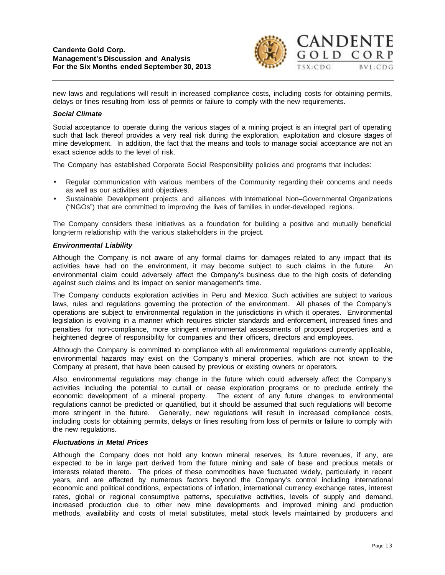

new laws and regulations will result in increased compliance costs, including costs for obtaining permits, delays or fines resulting from loss of permits or failure to comply with the new requirements.

### *Social Climate*

Social acceptance to operate during the various stages of a mining project is an integral part of operating such that lack thereof provides a very real risk during the exploration, exploitation and closure stages of mine development. In addition, the fact that the means and tools to manage social acceptance are not an exact science adds to the level of risk.

The Company has established Corporate Social Responsibility policies and programs that includes:

- Regular communication with various members of the Community regarding their concerns and needs as well as our activities and objectives.
- Sustainable Development projects and alliances with International Non–Governmental Organizations ("NGOs") that are committed to improving the lives of families in under-developed regions.

The Company considers these initiatives as a foundation for building a positive and mutually beneficial long-term relationship with the various stakeholders in the project.

#### *Environmental Liability*

Although the Company is not aware of any formal claims for damages related to any impact that its activities have had on the environment, it may become subject to such claims in the future. An environmental claim could adversely affect the Company's business due to the high costs of defending against such claims and its impact on senior management's time.

The Company conducts exploration activities in Peru and Mexico. Such activities are subject to various laws, rules and regulations governing the protection of the environment. All phases of the Company's operations are subject to environmental regulation in the jurisdictions in which it operates. Environmental legislation is evolving in a manner which requires stricter standards and enforcement, increased fines and penalties for non-compliance, more stringent environmental assessments of proposed properties and a heightened degree of responsibility for companies and their officers, directors and employees.

Although the Company is committed to compliance with all environmental regulations currently applicable, environmental hazards may exist on the Company's mineral properties, which are not known to the Company at present, that have been caused by previous or existing owners or operators.

Also, environmental regulations may change in the future which could adversely affect the Company's activities including the potential to curtail or cease exploration programs or to preclude entirely the economic development of a mineral property. The extent of any future changes to environmental regulations cannot be predicted or quantified, but it should be assumed that such regulations will become more stringent in the future. Generally, new regulations will result in increased compliance costs, including costs for obtaining permits, delays or fines resulting from loss of permits or failure to comply with the new regulations.

#### *Fluctuations in Metal Prices*

Although the Company does not hold any known mineral reserves, its future revenues, if any, are expected to be in large part derived from the future mining and sale of base and precious metals or interests related thereto. The prices of these commodities have fluctuated widely, particularly in recent years, and are affected by numerous factors beyond the Company's control including international economic and political conditions, expectations of inflation, international currency exchange rates, interest rates, global or regional consumptive patterns, speculative activities, levels of supply and demand, increased production due to other new mine developments and improved mining and production methods, availability and costs of metal substitutes, metal stock levels maintained by producers and